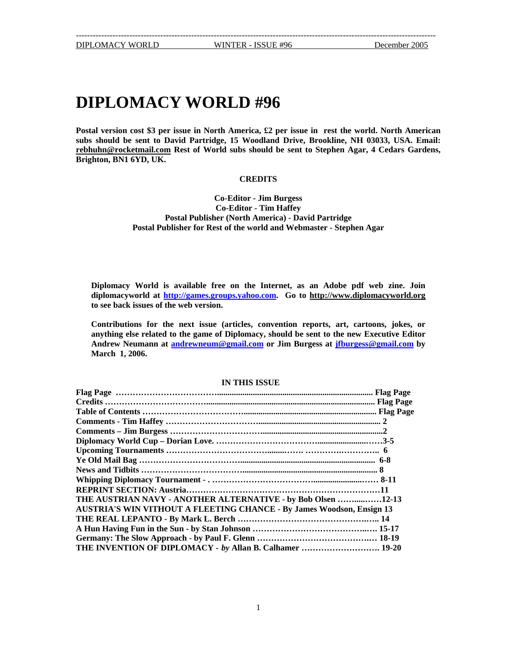## **DIPLOMACY WORLD #96**

**Postal version cost \$3 per issue in North America, £2 per issue in rest the world. North American subs should be sent to David Partridge, 15 Woodland Drive, Brookline, NH 03033, USA. Email: [rebhuhn@rocketmail.com](mailto:rebhuhn@rocketmail.com) Rest of World subs should be sent to Stephen Agar, 4 Cedars Gardens, Brighton, BN1 6YD, UK.** 

## **CREDITS**

**Co-Editor - Jim Burgess Co-Editor - Tim Haffey Postal Publisher (North America) - David Partridge Postal Publisher for Rest of the world and Webmaster - Stephen Agar**

**Diplomacy World is available free on the Internet, as an Adobe pdf web zine. Join diplomacyworld at [http://games.groups.yahoo.com](http://games.groups.yahoo.com/). Go to [http://www.diplomacyworld.org](http://www.diplomacyworld.org/) to see back issues of the web version.** 

**Contributions for the next issue (articles, convention reports, art, cartoons, jokes, or anything else related to the game of Diplomacy, should be sent to the new Executive Editor Andrew Neumann at [andrewneum@gmail.com](mailto:andrewneum@gmail.com) or Jim Burgess at [jfburgess@gmail.com](mailto:jfburgess@gmail.com) by March 1, 2006.** 

#### **IN THIS ISSUE**

| THE AUSTRIAN NAVY - ANOTHER ALTERNATIVE - by Bob Olsen 12-13                 |  |
|------------------------------------------------------------------------------|--|
| <b>AUSTRIA'S WIN VITHOUT A FLEETING CHANCE - By James Woodson, Ensign 13</b> |  |
|                                                                              |  |
|                                                                              |  |
|                                                                              |  |
| THE INVENTION OF DIPLOMACY - by Allan B. Calhamer  19-20                     |  |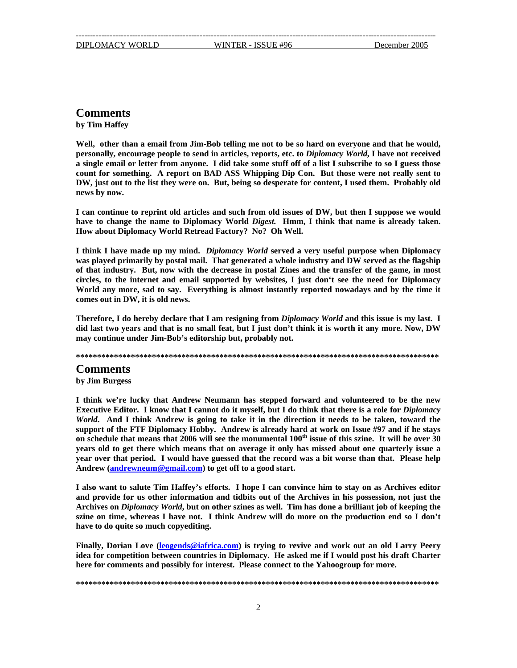## **Comments**

**by Tim Haffey** 

**Well, other than a email from Jim-Bob telling me not to be so hard on everyone and that he would, personally, encourage people to send in articles, reports, etc. to** *Diplomacy World***, I have not received a single email or letter from anyone. I did take some stuff off of a list I subscribe to so I guess those count for something. A report on BAD ASS Whipping Dip Con. But those were not really sent to DW, just out to the list they were on. But, being so desperate for content, I used them. Probably old news by now.**

**I can continue to reprint old articles and such from old issues of DW, but then I suppose we would have to change the name to Diplomacy World** *Digest.* **Hmm, I think that name is already taken. How about Diplomacy World Retread Factory? No? Oh Well.** 

**I think I have made up my mind.** *Diplomacy World* **served a very useful purpose when Diplomacy was played primarily by postal mail. That generated a whole industry and DW served as the flagship of that industry. But, now with the decrease in postal Zines and the transfer of the game, in most circles, to the internet and email supported by websites, I just don't see the need for Diplomacy World any more, sad to say. Everything is almost instantly reported nowadays and by the time it comes out in DW, it is old news.** 

**Therefore, I do hereby declare that I am resigning from** *Diplomacy World* **and this issue is my last. I did last two years and that is no small feat, but I just don't think it is worth it any more. Now, DW may continue under Jim-Bob's editorship but, probably not.** 

**\*\*\*\*\*\*\*\*\*\*\*\*\*\*\*\*\*\*\*\*\*\*\*\*\*\*\*\*\*\*\*\*\*\*\*\*\*\*\*\*\*\*\*\*\*\*\*\*\*\*\*\*\*\*\*\*\*\*\*\*\*\*\*\*\*\*\*\*\*\*\*\*\*\*\*\*\*\*\*\*\*\*\*\*\*\***

## **Comments**

**by Jim Burgess**

**I think we're lucky that Andrew Neumann has stepped forward and volunteered to be the new Executive Editor. I know that I cannot do it myself, but I do think that there is a role for** *Diplomacy World***. And I think Andrew is going to take it in the direction it needs to be taken, toward the support of the FTF Diplomacy Hobby. Andrew is already hard at work on Issue #97 and if he stays on schedule that means that 2006 will see the monumental 100th issue of this szine. It will be over 30 years old to get there which means that on average it only has missed about one quarterly issue a year over that period. I would have guessed that the record was a bit worse than that. Please help Andrew [\(andrewneum@gmail.com\)](mailto:andrewneum@gmail.com) to get off to a good start.** 

**I also want to salute Tim Haffey's efforts. I hope I can convince him to stay on as Archives editor and provide for us other information and tidbits out of the Archives in his possession, not just the Archives on** *Diplomacy World***, but on other szines as well. Tim has done a brilliant job of keeping the szine on time, whereas I have not. I think Andrew will do more on the production end so I don't have to do quite so much copyediting.** 

**Finally, Dorian Love ([leogends@iafrica.com\)](mailto:leogends@iafrica.com) is trying to revive and work out an old Larry Peery idea for competition between countries in Diplomacy. He asked me if I would post his draft Charter here for comments and possibly for interest. Please connect to the Yahoogroup for more.**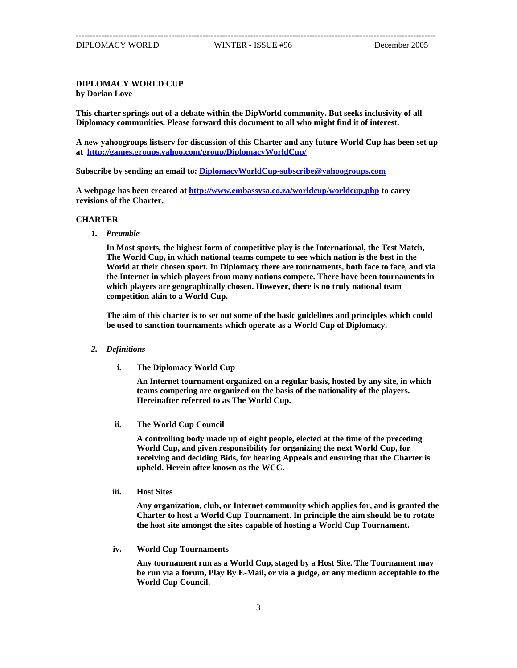## **DIPLOMACY WORLD CUP by Dorian Love**

**This charter springs out of a debate within the DipWorld community. But seeks inclusivity of all Diplomacy communities. Please forward this document to all who might find it of interest.** 

**A new yahoogroups listserv for discussion of this Charter and any future World Cup has been set up at <http://games.groups.yahoo.com/group/DiplomacyWorldCup/>**

**Subscribe by sending an email to: [DiplomacyWorldCup-subscribe@yahoogroups.com](mailto:DiplomacyWorldCup-subscribe@yahoogroups.com)**

**A webpage has been created at <http://www.embassysa.co.za/worldcup/worldcup.php> to carry revisions of the Charter.** 

#### **CHARTER**

*1. Preamble* 

**In Most sports, the highest form of competitive play is the International, the Test Match, The World Cup, in which national teams compete to see which nation is the best in the World at their chosen sport. In Diplomacy there are tournaments, both face to face, and via the Internet in which players from many nations compete. There have been tournaments in which players are geographically chosen. However, there is no truly national team competition akin to a World Cup.**

**The aim of this charter is to set out some of the basic guidelines and principles which could be used to sanction tournaments which operate as a World Cup of Diplomacy.** 

- *2. Definitions* 
	- **i. The Diplomacy World Cup**

**An Internet tournament organized on a regular basis, hosted by any site, in which teams competing are organized on the basis of the nationality of the players. Hereinafter referred to as The World Cup.** 

**ii. The World Cup Council** 

**A controlling body made up of eight people, elected at the time of the preceding World Cup, and given responsibility for organizing the next World Cup, for receiving and deciding Bids, for hearing Appeals and ensuring that the Charter is upheld. Herein after known as the WCC.** 

**iii. Host Sites** 

**Any organization, club, or Internet community which applies for, and is granted the Charter to host a World Cup Tournament. In principle the aim should be to rotate the host site amongst the sites capable of hosting a World Cup Tournament.** 

**iv. World Cup Tournaments** 

**Any tournament run as a World Cup, staged by a Host Site. The Tournament may be run via a forum, Play By E-Mail, or via a judge, or any medium acceptable to the World Cup Council.**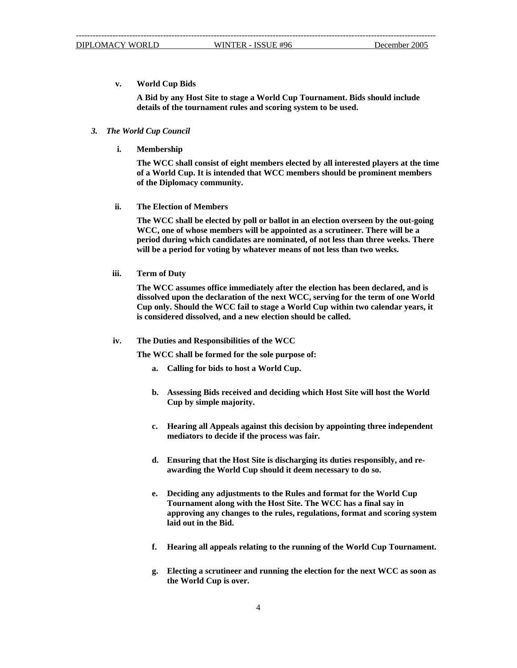**v. World Cup Bids** 

**A Bid by any Host Site to stage a World Cup Tournament. Bids should include details of the tournament rules and scoring system to be used.** 

## *3. The World Cup Council*

**i. Membership** 

**The WCC shall consist of eight members elected by all interested players at the time of a World Cup. It is intended that WCC members should be prominent members of the Diplomacy community.** 

**ii. The Election of Members** 

**The WCC shall be elected by poll or ballot in an election overseen by the out-going WCC, one of whose members will be appointed as a scrutineer. There will be a period during which candidates are nominated, of not less than three weeks. There will be a period for voting by whatever means of not less than two weeks.** 

**iii. Term of Duty** 

**The WCC assumes office immediately after the election has been declared, and is dissolved upon the declaration of the next WCC, serving for the term of one World Cup only. Should the WCC fail to stage a World Cup within two calendar years, it is considered dissolved, and a new election should be called.** 

#### **iv. The Duties and Responsibilities of the WCC**

**The WCC shall be formed for the sole purpose of:** 

- **a. Calling for bids to host a World Cup.**
- **b. Assessing Bids received and deciding which Host Site will host the World Cup by simple majority.**
- **c. Hearing all Appeals against this decision by appointing three independent mediators to decide if the process was fair.**
- **d. Ensuring that the Host Site is discharging its duties responsibly, and reawarding the World Cup should it deem necessary to do so.**
- **e. Deciding any adjustments to the Rules and format for the World Cup Tournament along with the Host Site. The WCC has a final say in approving any changes to the rules, regulations, format and scoring system laid out in the Bid.**
- **f. Hearing all appeals relating to the running of the World Cup Tournament.**
- **g. Electing a scrutineer and running the election for the next WCC as soon as the World Cup is over.**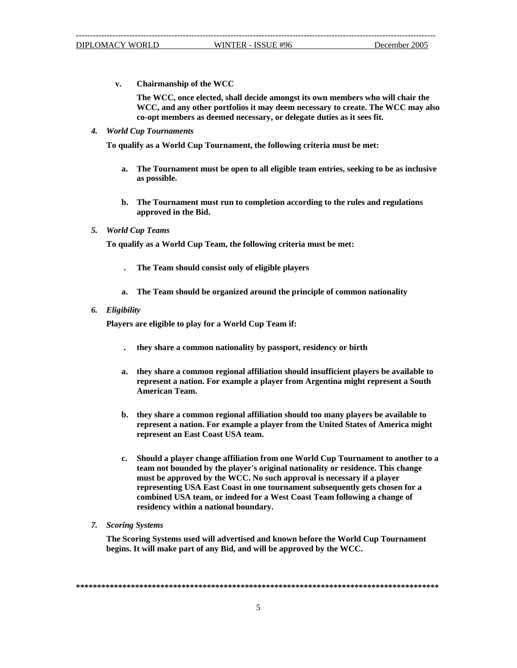**v. Chairmanship of the WCC** 

**The WCC, once elected, shall decide amongst its own members who will chair the WCC, and any other portfolios it may deem necessary to create. The WCC may also co-opt members as deemed necessary, or delegate duties as it sees fit.** 

*4. World Cup Tournaments* 

**To qualify as a World Cup Tournament, the following criteria must be met:** 

- **a. The Tournament must be open to all eligible team entries, seeking to be as inclusive as possible.**
- **b. The Tournament must run to completion according to the rules and regulations approved in the Bid.**
- *5. World Cup Teams*

**To qualify as a World Cup Team, the following criteria must be met:** 

- **. The Team should consist only of eligible players**
- **a. The Team should be organized around the principle of common nationality**
- *6. Eligibility*

**Players are eligible to play for a World Cup Team if:** 

- **. they share a common nationality by passport, residency or birth**
- **a. they share a common regional affiliation should insufficient players be available to represent a nation. For example a player from Argentina might represent a South American Team.**
- **b. they share a common regional affiliation should too many players be available to represent a nation. For example a player from the United States of America might represent an East Coast USA team.**
- **c. Should a player change affiliation from one World Cup Tournament to another to a team not bounded by the player's original nationality or residence. This change must be approved by the WCC. No such approval is necessary if a player representing USA East Coast in one tournament subsequently gets chosen for a combined USA team, or indeed for a West Coast Team following a change of residency within a national boundary.**
- *7. Scoring Systems*

**The Scoring Systems used will advertised and known before the World Cup Tournament begins. It will make part of any Bid, and will be approved by the WCC.** 

**\*\*\*\*\*\*\*\*\*\*\*\*\*\*\*\*\*\*\*\*\*\*\*\*\*\*\*\*\*\*\*\*\*\*\*\*\*\*\*\*\*\*\*\*\*\*\*\*\*\*\*\*\*\*\*\*\*\*\*\*\*\*\*\*\*\*\*\*\*\*\*\*\*\*\*\*\*\*\*\*\*\*\*\*\*\***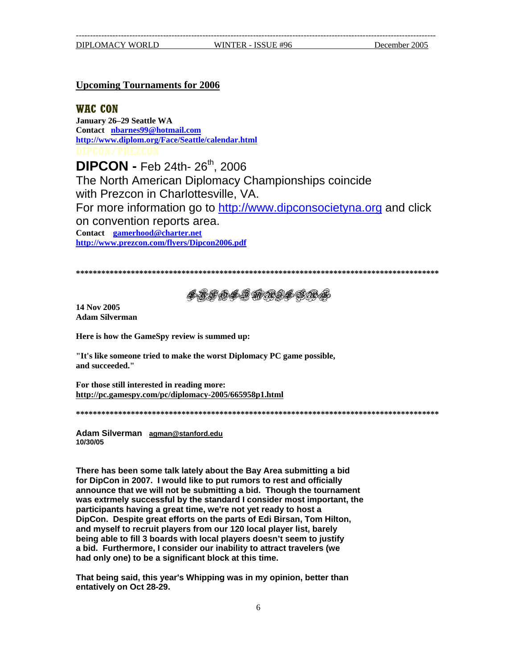## **Upcoming Tournaments for 2006**

**WAC CON**

**January 26–29 Seattle WA Contact [nbarnes99@hotmail.com](mailto:nbarnes99@hotmail.com) <http://www.diplom.org/Face/Seattle/calendar.html>**

**DIPCON - Feb 24th- 26th, 2006** The North American Diplomacy Championships coincide with Prezcon in Charlottesville, VA. For more information go to [http://www.dipconsocietyna.org](http://www.dipconsocietyna.org/) and click on convention reports area. **Contact [gamerhood@charter.net](mailto:gamerhood@charter.net) <http://www.prezcon.com/flyers/Dipcon2006.pdf>**

**\*\*\*\*\*\*\*\*\*\*\*\*\*\*\*\*\*\*\*\*\*\*\*\*\*\*\*\*\*\*\*\*\*\*\*\*\*\*\*\*\*\*\*\*\*\*\*\*\*\*\*\*\*\*\*\*\*\*\*\*\*\*\*\*\*\*\*\*\*\*\*\*\*\*\*\*\*\*\*\*\*\*\*\*\*\***

LYE OLD MAILBAG

**14 Nov 2005 Adam Silverman** 

**Here is how the GameSpy review is summed up:** 

**"It's like someone tried to make the worst Diplomacy PC game possible, and succeeded."** 

**For those still interested in reading more: <http://pc.gamespy.com/pc/diplomacy-2005/665958p1.html>**

**\*\*\*\*\*\*\*\*\*\*\*\*\*\*\*\*\*\*\*\*\*\*\*\*\*\*\*\*\*\*\*\*\*\*\*\*\*\*\*\*\*\*\*\*\*\*\*\*\*\*\*\*\*\*\*\*\*\*\*\*\*\*\*\*\*\*\*\*\*\*\*\*\*\*\*\*\*\*\*\*\*\*\*\*\*\***

**Adam Silverman [agman@stanford.edu](mailto:agman@stanford.edu) 10/30/05**

**There has been some talk lately about the Bay Area submitting a bid for DipCon in 2007. I would like to put rumors to rest and officially announce that we will not be submitting a bid. Though the tournament was extrmely successful by the standard I consider most important, the participants having a great time, we're not yet ready to host a DipCon. Despite great efforts on the parts of Edi Birsan, Tom Hilton, and myself to recruit players from our 120 local player list, barely being able to fill 3 boards with local players doesn't seem to justify a bid. Furthermore, I consider our inability to attract travelers (we had only one) to be a significant block at this time.** 

**That being said, this year's Whipping was in my opinion, better than entatively on Oct 28-29.**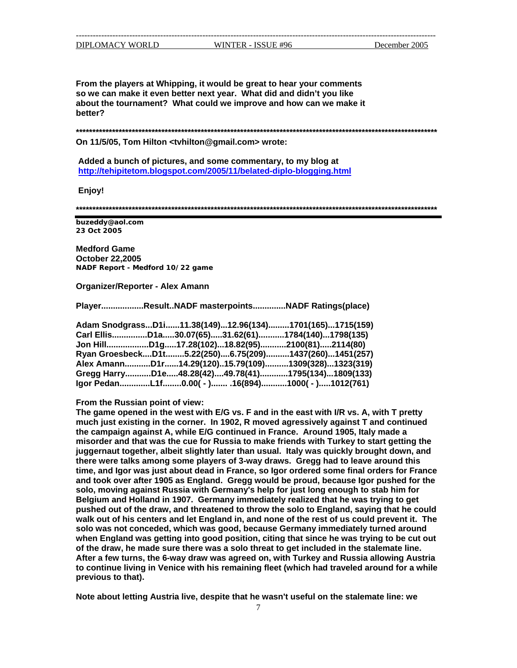**From the players at Whipping, it would be great to hear your comments so we can make it even better next year. What did and didn't you like about the tournament? What could we improve and how can we make it better?** 

**\*\*\*\*\*\*\*\*\*\*\*\*\*\*\*\*\*\*\*\*\*\*\*\*\*\*\*\*\*\*\*\*\*\*\*\*\*\*\*\*\*\*\*\*\*\*\*\*\*\*\*\*\*\*\*\*\*\*\*\*\*\*\*\*\*\*\*\*\*\*\*\*\*\*\*\*\*\*\*\*\*\*\*\*\*\*\*\*\*\*\*\*\*\*\*\*\*\*\*\*\*\*\*\*\*\*\*\*\*\*** 

**On 11/5/05, Tom Hilton <tvhilton@gmail.com> wrote:** 

 **Added a bunch of pictures, and some commentary, to my blog at <http://tehipitetom.blogspot.com/2005/11/belated-diplo-blogging.html>**

 **Enjoy!**

**\*\*\*\*\*\*\*\*\*\*\*\*\*\*\*\*\*\*\*\*\*\*\*\*\*\*\*\*\*\*\*\*\*\*\*\*\*\*\*\*\*\*\*\*\*\*\*\*\*\*\*\*\*\*\*\*\*\*\*\*\*\*\*\*\*\*\*\*\*\*\*\*\*\*\*\*\*\*\*\*\*\*\*\*\*\*\*\*\*\*\*\*\*\*\*\*\*\*\*\*\*\*\*\*\*\*\*\*\*\*** 

**buzeddy@aol.com 23 Oct 2005**

**Medford Game October 22,2005 NADF Report - Medford 10/22 game**

**Organizer/Reporter - Alex Amann** 

**Player..................Result..NADF masterpoints..............NADF Ratings(place)** 

| Adam SnodgrassD1i11.38(149)12.96(134)1701(165)1715(159) |  |  |  |
|---------------------------------------------------------|--|--|--|
| Carl EllisD1a30.07(65)31.62(61)1784(140)1798(135)       |  |  |  |
| Jon HillD1g17.28(102)18.82(95)2100(81)2114(80)          |  |  |  |
| Ryan GroesbeckD1t5.22(250)6.75(209)1437(260)1451(257)   |  |  |  |
| Alex AmannD1r14.29(120)15.79(109)1309(328)1323(319)     |  |  |  |
| Gregg HarryD1e48.28(42)49.78(41)1795(134)1809(133)      |  |  |  |
| Igor PedanL1f0.00( - ) .16(894)1000( - )1012(761)       |  |  |  |

## **From the Russian point of view:**

**The game opened in the west with E/G vs. F and in the east with I/R vs. A, with T pretty much just existing in the corner. In 1902, R moved agressively against T and continued the campaign against A, while E/G continued in France. Around 1905, Italy made a misorder and that was the cue for Russia to make friends with Turkey to start getting the juggernaut together, albeit slightly later than usual. Italy was quickly brought down, and there were talks among some players of 3-way draws. Gregg had to leave around this time, and Igor was just about dead in France, so Igor ordered some final orders for France and took over after 1905 as England. Gregg would be proud, because Igor pushed for the solo, moving against Russia with Germany's help for just long enough to stab him for Belgium and Holland in 1907. Germany immediately realized that he was trying to get pushed out of the draw, and threatened to throw the solo to England, saying that he could walk out of his centers and let England in, and none of the rest of us could prevent it. The solo was not conceded, which was good, because Germany immediately turned around when England was getting into good position, citing that since he was trying to be cut out of the draw, he made sure there was a solo threat to get included in the stalemate line. After a few turns, the 6-way draw was agreed on, with Turkey and Russia allowing Austria to continue living in Venice with his remaining fleet (which had traveled around for a while previous to that).** 

**Note about letting Austria live, despite that he wasn't useful on the stalemate line: we**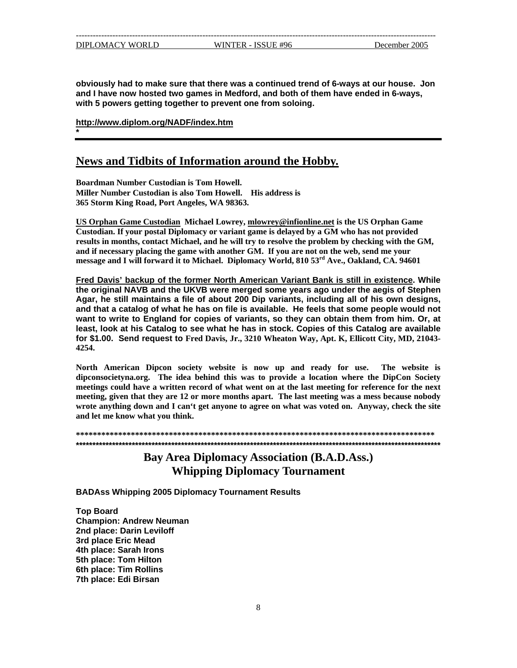**\*** 

**obviously had to make sure that there was a continued trend of 6-ways at our house. Jon and I have now hosted two games in Medford, and both of them have ended in 6-ways, with 5 powers getting together to prevent one from soloing.** 

**<http://www.diplom.org/NADF/index.htm>**

## **News and Tidbits of Information around the Hobby.**

**Boardman Number Custodian is Tom Howell. Miller Number Custodian is also Tom Howell. His address is 365 Storm King Road, Port Angeles, WA 98363.**

**US Orphan Game Custodian Michael Lowrey, [mlowrey@infionline.net](mailto:mlowrey@infionline.net) is the US Orphan Game Custodian. If your postal Diplomacy or variant game is delayed by a GM who has not provided results in months, contact Michael, and he will try to resolve the problem by checking with the GM, and if necessary placing the game with another GM. If you are not on the web, send me your message and I will forward it to Michael. Diplomacy World, 810 53rd Ave., Oakland, CA. 94601**

**Fred Davis' backup of the former North American Variant Bank is still in existence. While the original NAVB and the UKVB were merged some years ago under the aegis of Stephen Agar, he still maintains a file of about 200 Dip variants, including all of his own designs, and that a catalog of what he has on file is available. He feels that some people would not want to write to England for copies of variants, so they can obtain them from him. Or, at least, look at his Catalog to see what he has in stock. Copies of this Catalog are available for \$1.00. Send request to Fred Davis, Jr., 3210 Wheaton Way, Apt. K, Ellicott City, MD, 21043- 4254.** 

**North American Dipcon society website is now up and ready for use. The website is dipconsocietyna.org. The idea behind this was to provide a location where the DipCon Society meetings could have a written record of what went on at the last meeting for reference for the next meeting, given that they are 12 or more months apart. The last meeting was a mess because nobody wrote anything down and I can't get anyone to agree on what was voted on. Anyway, check the site and let me know what you think.** 

**\*\*\*\*\*\*\*\*\*\*\*\*\*\*\*\*\*\*\*\*\*\*\*\*\*\*\*\*\*\*\*\*\*\*\*\*\*\*\*\*\*\*\*\*\*\*\*\*\*\*\*\*\*\*\*\*\*\*\*\*\*\*\*\*\*\*\*\*\*\*\*\*\*\*\*\*\*\*\*\*\*\*\*\*\* \*\*\*\*\*\*\*\*\*\*\*\*\*\*\*\*\*\*\*\*\*\*\*\*\*\*\*\*\*\*\*\*\*\*\*\*\*\*\*\*\*\*\*\*\*\*\*\*\*\*\*\*\*\*\*\*\*\*\*\*\*\*\*\*\*\*\*\*\*\*\*\*\*\*\*\*\*\*\*\*\*\*\*\*\*\*\*\*\*\*\*\*\*\*\*\*\*\*\*\*\*\*\*\*\*\*\*\*\*\*\***

> **Bay Area Diplomacy Association (B.A.D.Ass.) Whipping Diplomacy Tournament**

**BADAss Whipping 2005 Diplomacy Tournament Results** 

**Top Board Champion: Andrew Neuman 2nd place: Darin Leviloff 3rd place Eric Mead 4th place: Sarah Irons 5th place: Tom Hilton 6th place: Tim Rollins 7th place: Edi Birsan**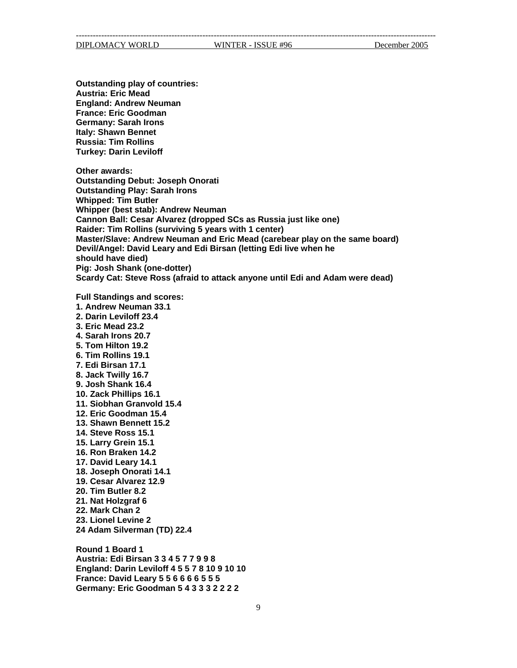--------------------------------------------------------------------------------------------------------------------------------

DIPLOMACY WORLD WINTER - ISSUE #96 December 2005

**Outstanding play of countries: Austria: Eric Mead England: Andrew Neuman France: Eric Goodman Germany: Sarah Irons Italy: Shawn Bennet Russia: Tim Rollins Turkey: Darin Leviloff** 

**Other awards: Outstanding Debut: Joseph Onorati Outstanding Play: Sarah Irons Whipped: Tim Butler Whipper (best stab): Andrew Neuman Cannon Ball: Cesar Alvarez (dropped SCs as Russia just like one) Raider: Tim Rollins (surviving 5 years with 1 center) Master/Slave: Andrew Neuman and Eric Mead (carebear play on the same board) Devil/Angel: David Leary and Edi Birsan (letting Edi live when he should have died) Pig: Josh Shank (one-dotter) Scardy Cat: Steve Ross (afraid to attack anyone until Edi and Adam were dead)** 

**Full Standings and scores: 1. Andrew Neuman 33.1 2. Darin Leviloff 23.4 3. Eric Mead 23.2 4. Sarah Irons 20.7 5. Tom Hilton 19.2 6. Tim Rollins 19.1 7. Edi Birsan 17.1 8. Jack Twilly 16.7 9. Josh Shank 16.4 10. Zack Phillips 16.1 11. Siobhan Granvold 15.4 12. Eric Goodman 15.4 13. Shawn Bennett 15.2 14. Steve Ross 15.1 15. Larry Grein 15.1 16. Ron Braken 14.2 17. David Leary 14.1 18. Joseph Onorati 14.1 19. Cesar Alvarez 12.9 20. Tim Butler 8.2 21. Nat Holzgraf 6 22. Mark Chan 2 23. Lionel Levine 2 24 Adam Silverman (TD) 22.4 Round 1 Board 1** 

**Austria: Edi Birsan 3 3 4 5 7 7 9 9 8 England: Darin Leviloff 4 5 5 7 8 10 9 10 10 France: David Leary 5 5 6 6 6 6 5 5 5 Germany: Eric Goodman 5 4 3 3 3 2 2 2 2**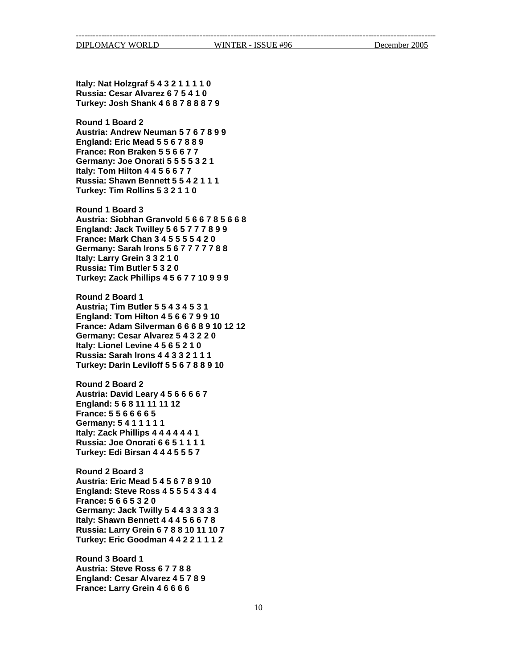**Austria: Steve Ross 6 7 7 8 8 England: Cesar Alvarez 4 5 7 8 9 France: Larry Grein 4 6 6 6 6**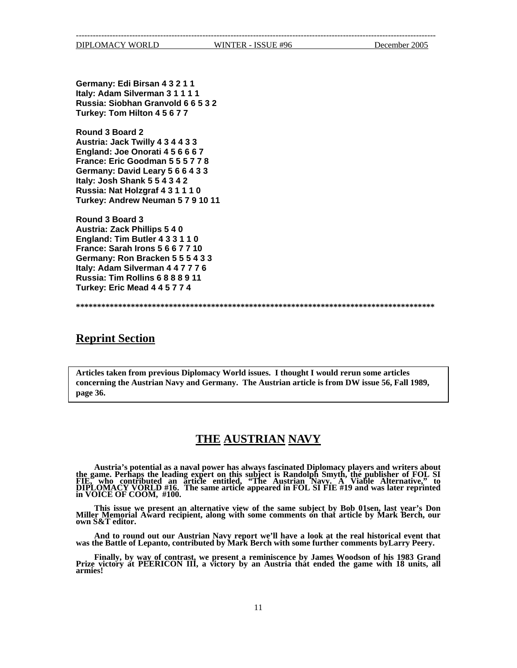-------------------------------------------------------------------------------------------------------------------------------- DIPLOMACY WORLD WINTER - ISSUE #96 December 2005

**Germany: Edi Birsan 4 3 2 1 1 Italy: Adam Silverman 3 1 1 1 1 Russia: Siobhan Granvold 6 6 5 3 2 Turkey: Tom Hilton 4 5 6 7 7** 

**Round 3 Board 2 Austria: Jack Twilly 4 3 4 4 3 3 England: Joe Onorati 4 5 6 6 6 7 France: Eric Goodman 5 5 5 7 7 8 Germany: David Leary 5 6 6 4 3 3 Italy: Josh Shank 5 5 4 3 4 2 Russia: Nat Holzgraf 4 3 1 1 1 0 Turkey: Andrew Neuman 5 7 9 10 11**

**Round 3 Board 3 Austria: Zack Phillips 5 4 0 England: Tim Butler 4 3 3 1 1 0 France: Sarah Irons 5 6 6 7 7 10 Germany: Ron Bracken 5 5 5 4 3 3 Italy: Adam Silverman 4 4 7 7 7 6 Russia: Tim Rollins 6 8 8 8 9 11 Turkey: Eric Mead 4 4 5 7 7 4**

**\*\*\*\*\*\*\*\*\*\*\*\*\*\*\*\*\*\*\*\*\*\*\*\*\*\*\*\*\*\*\*\*\*\*\*\*\*\*\*\*\*\*\*\*\*\*\*\*\*\*\*\*\*\*\*\*\*\*\*\*\*\*\*\*\*\*\*\*\*\*\*\*\*\*\*\*\*\*\*\*\*\*\*\*\***

## **Reprint Section**

**Articles taken from previous Diplomacy World issues. I thought I would rerun some articles concerning the Austrian Navy and Germany. The Austrian article is from DW issue 56, Fall 1989, page 36.** 

## **THE AUSTRIAN NAVY**

**Austria's potential as a naval power has always fascinated Diplomacy players and writers about the game. Perhaps the leading expert on this subject is Randolph Smyth, the publisher of FOL SI FIE, who contributed an article entitled, "The Austrian Navy. A Viable Alternative," to DIPLOMACY VORLD #16. The same article appeared in FOL SI FIE #19 and was later reprinted in VOICE OF COOM, #100.** 

**This issue we present an alternative view of the same subject by Bob 01sen, last year's Don Miller Memorial Award recipient, along with some comments on that article by Mark Berch, our own S&T editor.** 

**And to round out our Austrian Navy report we'll have a look at the real historical event that was the Battle of Lepanto, contributed by Mark Berch with some further comments byLarry Peery.** 

**Finally, by way of contrast, we present a reminiscence by James Woodson of his 1983 Grand Prize victory at PEERICON III, a victory by an Austria that ended the game with 18 units, all armies!**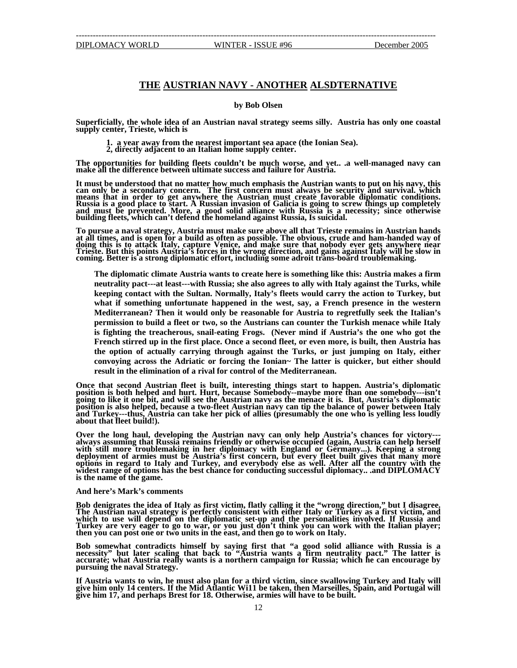## **THE AUSTRIAN NAVY - ANOTHER ALSDTERNATIVE**

### **by Bob Olsen**

Superficially, the whole idea of an Austrian naval strategy seems silly. Austria has only one coastal<br>supply center, Trieste, which is<br>1. a year away from the nearest important sea apace (the Ionian Sea).<br>2, directly adjac

**The opportunities for building fleets couldn't be much worse, and yet.. .a well-managed navy can make all the difference between ultimate success and failure for Austria.** 

**It must be understood that no matter how much emphasis the Austrian wants to put on his navy, this can only be a secondary concern. The first concern must always be security and survival. which means that in order to get anywhere the Austrian must create favorable diplomatic conditions. Russia is a good place to start. A Russian invasion of Galicia is going to screw things up completely and must be prevented. More, a good solid alliance with Russia is a necessity; since otherwise building fleets, which can't defend the homeland against Russia, Is suicidal.** 

**To pursue a naval strategy, Austria must make sure above all that Trieste remains in Austrian hands at all times, and is open for a build as often as possible. The obvious, crude and ham-handed way of**  doing this is to attack Italy, capture Venice, and make sure that nobody ever gets anywhere near<br>Trieste. But this points Austria's forces in the wrong direction, and gains against Italy will be slow in<br>coming. Better is a

**The diplomatic climate Austria wants to create here is something like this: Austria makes a firm neutrality pact---at least---with Russia; she also agrees to ally with Italy against the Turks, while keeping contact with the Sultan. Normally, Italy's fleets would carry the action to Turkey, but what if something unfortunate happened in the west, say, a French presence in the western Mediterranean? Then it would only be reasonable for Austria to regretfully seek the Italian's permission to build a fleet or two, so the Austrians can counter the Turkish menace while Italy is fighting the treacherous, snail-eating Frogs. (Never mind if Austria's the one who got the French stirred up in the first place. Once a second fleet, or even more, is built, then Austria has the option of actually carrying through against the Turks, or just jumping on Italy, either convoying across the Adriatic or forcing the Ionian~ The latter is quicker, but either should result in the elimination of a rival for control of the Mediterranean.** 

**Once that second Austrian fleet is built, interesting things start to happen. Austria's diplomatic position is both helped and hurt. Hurt, because Somebody--maybe more than one somebody---isn't going to like it one bit, and will see the Austrian navy as the menace it is. But, Austria's diplomatic position is also helped, because a two-fleet Austrian navy can tip the balance of power between Italy and Turkey---thus, Austria can take her pick of allies (presumably the one who is yelling less loudly about that fleet build!).** 

Over the long haul, developing the Austrian navy can only help Austria's chances for victory---<br>always assuming that Russia remains friendly or otherwise occupied (again, Austria can help herself<br>with still more troublemak **with still more troublemaking in her diplomacy with England or Germany...). Keeping a strong deployment of armies must be Austria's first concern, but every fleet built gives that many more options in regard to Italy and Turkey, and everybody else as well. After all the country with the** widest range of options has the best chance for conducting successful diplomacy.. .and DIPLOMACY **is the name of the game.** 

#### **And here's Mark's comments**

**Bob denigrates the idea of Italy as first victim, flatly calling it the "wrong direction," but I disagree. The Austrian naval strategy is perfectly consistent with either Italy or Turkey as a first victim, and**  which to use will depend on the diplomatic set-up and the personalities involved. If Russia and Turkey are very eager to go to war, or you just don't think you can work with the Italian player;<br>then you can post one or two units in the east, and then go to work on Italy.

**Bob somewhat contradicts himself by saying first that "a good solid alliance with Russia is a necessity" but later scaling that back to "Austria wants a firm neutrality pact." The latter is accurate; what Austria really wants is a northern campaign for Russia; which he can encourage by pursuing the naval Strategy.** 

**If Austria wants to win, he must also plan for a third victim, since swallowing Turkey and Italy will give him only 14 centers. If the Mid Atlantic Wi11 be taken, then Marseilles, Spain, and Portugal will give him 17, and perhaps Brest for 18. Otherwise, armies will have to be built.**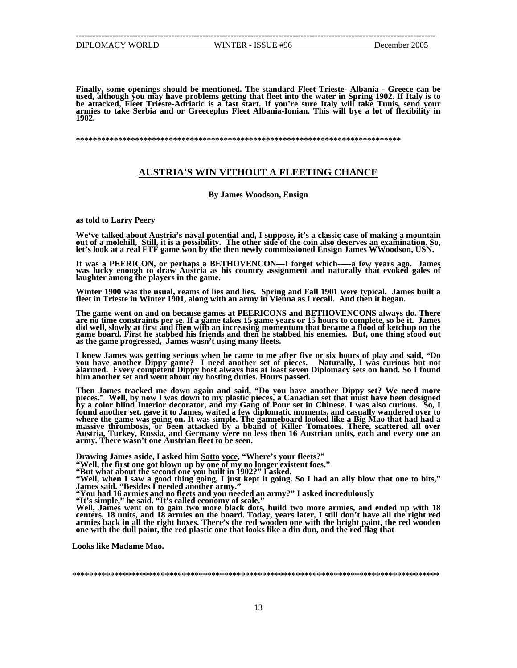--------------------------------------------------------------------------------------------------------------------------------

**Finally, some openings should be mentioned. The standard Fleet Trieste- Albania - Greece can be**  used, although you may have problems getting that fleet into the water in Spring 1902. If Italy is to<br>be attacked, Fleet Trieste-Adriatic is a fast start. If you're sure Italy will take Tunis, send your<br>armies to take Serb

**\*\*\*\*\*\*\*\*\*\*\*\*\*\*\*\*\*\*\*\*\*\*\*\*\*\*\*\*\*\*\*\*\*\*\*\*\*\*\*\*\*\*\*\*\*\*\*\*\*\*\*\*\*\*\*\*\*\*\*\*\*\*\*\*\*\*\*\*\*\*\*\*\*\*\*\*\*** 

## **AUSTRIA'S WIN VITHOUT A FLEETING CHANCE**

**By James Woodson, Ensign** 

**as told to Larry Peery** 

We've talked about Austria's naval potential and, I suppose, it's a classic case of making a mountain<br>out of a molehill, Still, it is a possibility. The other side of the coin also deserves an examination. So,<br>let's look a

**It was a PEERICON, or perhaps a BETHOVENCON—I forget which-—-a few years ago. James was lucky enough to draw Austria as his country assignment and naturally that evoked gales of laughter among the players in the game.** 

**Winter 1900 was the usual, reams of lies and lies. Spring and Fall 1901 were typical. James built a fleet in Trieste in Winter 1901, along with an army in Vienna as I recall. And then it began.** 

The game went on and on because games at PEERICONS and BETHOVENCONS always do. There are no time constraints per se. If a game takes 15 game years or 15 hours to complete, so be it. James did well, slowly at first and then

I knew James was getting serious when he came to me after five or six hours of play and said, ''Do<br>you have another Dippy game?' I need another set of pieces. 'Naturally, I was curious but not<br>alarmed. Every competent Dipp **him another set and went about my hosting duties. Hours passed.** 

**Then James tracked me down again and said, "Do you have another Dippy set? We need more**  Then James tracked me down again and said, "Do you have another Dippy set? We heed more<br>pieces." Well, by now I was down to my plastic pieces, a Canadian set that must have been designed<br>by a color blind Interior decorator **army. There wasn't one Austrian fleet to be seen.** 

**Drawing James aside, I asked him Sotto voce, "Where's your fleets?"** 

**"Well, the first one got blown up by one of my no longer existent foes." "But what about the second one you built in 1902?" I asked.** 

**"Well, when I saw a good thing going, I just kept it going. So I had an ally blow that one to bits," James said. "Besides I needed another army."** 

**"You had 16 armies and no fleets and you needed an army?" I asked incredulous]y "It's simple," he said. "It's called economy of scale."** 

Well, James went on to gain two more black dots, build two more armies, and ended up with 18<br>centers, 18 units, and 18 armies on the board. Today, years later, I still don't have all the right red<br>armies back in all the ri **one with the dull paint, the red plastic one that looks like a din dun, and the red flag that** 

**Looks like Madame Mao.** 

**\*\*\*\*\*\*\*\*\*\*\*\*\*\*\*\*\*\*\*\*\*\*\*\*\*\*\*\*\*\*\*\*\*\*\*\*\*\*\*\*\*\*\*\*\*\*\*\*\*\*\*\*\*\*\*\*\*\*\*\*\*\*\*\*\*\*\*\*\*\*\*\*\*\*\*\*\*\*\*\*\*\*\*\*\*\*\***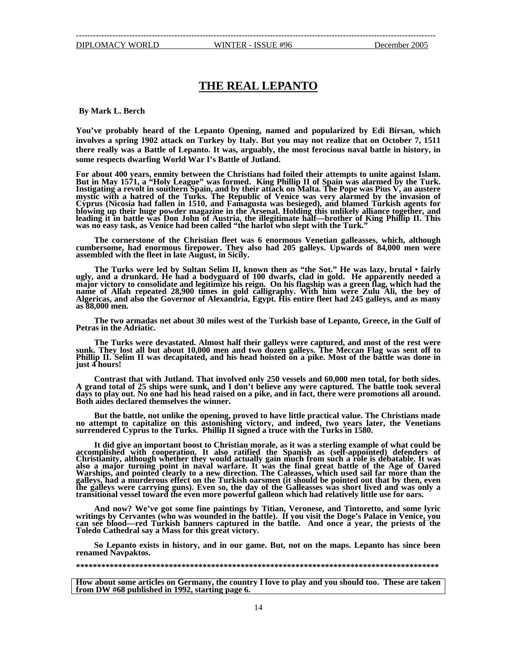## **THE REAL LEPANTO**

**By Mark L. Berch** 

**You've probably heard of the Lepanto Opening, named and popularized by Edi Birsan, which involves a spring 1902 attack on Turkey by Italy. But you may not realize that on October 7, 1511 there really was a Battle of Lepanto. It was, arguably, the most ferocious naval battle in history, in some respects dwarfing World War I's Battle of Jutland.** 

**For about 400 years, enmity between the Christians had foiled their attempts to unite against Islam. But in May 1571, a "Holy League" was formed. King Phillip II of Spain was alarmed by the Turk. Instigating a revolt in southern Spain, and by their attack on Malta. The Pope was Pius V, an austere mystic with a hatred of the Turks. The Republic of Venice was very alarmed by the invasion of Cyprus (Nicosia had fallen in 1510, and Famagusta was besieged), and blamed Turkish agents for blowing up their huge powder magazine in the Arsenal. Holding this unlikely alliance together, and leading it in battle was Don John of Austria, the illegitimate half—brother of King Phillip II. This was no easy task, as Venice had been called "the harlot who slept with the Turk."** 

**The cornerstone of the Christian fleet was 6 enormous Venetian galleasses, which, although cumbersome, had enormous firepower. They also had 205 galleys. Upwards of 84,000 men were assembled with the fleet in late August, in Sicily.** 

**The Turks were led by Sultan Selim II, known then as "the Sot." He was lazy, brutal • fairly ugly, and a drunkard. He had a bodyguard of 100 dwarfs, clad in gold. He apparently needed a major victory to consolidate and legitimize his reign. On his flagship was a green flag, which had the**  name of Allah repeated 28,900 times in gold calligraphy. With him were Zulu Ali, the bey of<br>Algericas, and also the Governor of Alexandria, Egypt. His entire fleet had 245 galleys, and as many<br>as 88,000 men.

**The two armadas net about 30 miles west of the Turkish base of Lepanto, Greece, in the Gulf of Petras in the Adriatic.** 

**The Turks were devastated. Almost half their galleys were captured, and most of the rest were sunk. They lost all but about 10,000 men and two dozen galleys. The Meccan Flag was sent off to Phillip II. Selim II was decapitated, and his head hoisted on a pike. Most of the battle was done in just 4 hours!**

**Contrast that with Jutland. That involved only 250 vessels and 60,000 men total, for both sides. A grand total of 25 ships were sunk, and I don't believe any were captured. The battle took several days to play out. No one had his head raised on a pike, and in fact, there were promotions all around. Both aides declared themselves the winner.** 

**But the battle, not unlike the opening, proved to have little practical value. The Christians made no attempt to capitalize on this astonishing victory, and indeed, two years later, the Venetians surrendered Cyprus to the Turks. Phillip II signed a truce with the Turks in 1580.** 

**It did give an important boost to Christian morale, as it was a sterling example of what could be accomplished with cooperation. It also ratified the Spanish as (self-appointed) defenders of Christianity, although whether they would actually gain much from such a role is debatable. It was also a major turning point in naval warfare. It was the final great battle of the Age of Oared Warships, and pointed clearly to a new direction. The Caleasses, which used sail far more than the galleys, had a murderous effect on the Turkish oarsmen (it should be pointed out that by then, even the galleys were carrying guns). Even so, the day of the Galleasses was short lived and was only a transitional vessel toward the even more powerful galleon which had relatively little use for oars.** 

And now? We've got some fine paintings by Titian, Veronese, and Tintoretto, and some lyric<br>writings by Cervantes (who was wounded in the battle). If you visit the Doge's Palace in Venice, you<br>can see blood—red Turkish bann **Toledo Cathedral say a Mass for this great victory.** 

**So Lepanto exists in history, and in our game. But, not on the maps. Lepanto has since been renamed Navpaktos.** 

#### **\*\*\*\*\*\*\*\*\*\*\*\*\*\*\*\*\*\*\*\*\*\*\*\*\*\*\*\*\*\*\*\*\*\*\*\*\*\*\*\*\*\*\*\*\*\*\*\*\*\*\*\*\*\*\*\*\*\*\*\*\*\*\*\*\*\*\*\*\*\*\*\*\*\*\*\*\*\*\*\*\*\*\*\*\*\***

**How about some articles on Germany, the country I love to play and you should too. These are taken from DW #68 published in 1992, starting page 6.**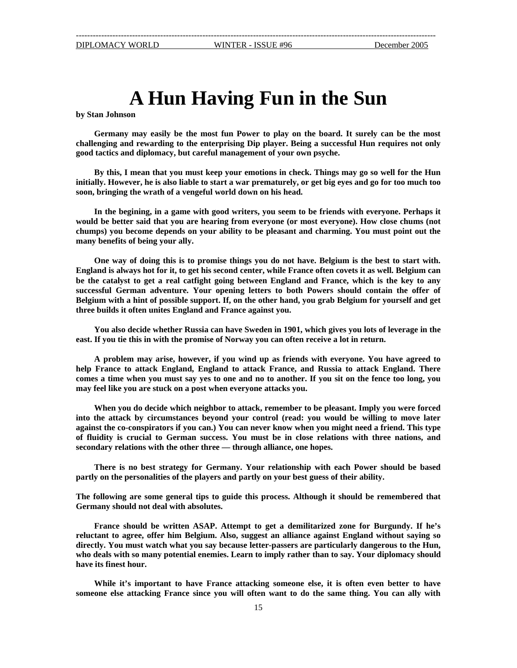# **A Hun Having Fun in the Sun**

**by Stan Johnson** 

**Germany may easily be the most fun Power to play on the board. It surely can be the most challenging and rewarding to the enterprising Dip player. Being a successful Hun requires not only good tactics and diplomacy, but careful management of your own psyche.** 

**By this, I mean that you must keep your emotions in check. Things may go so well for the Hun initially. However, he is also liable to start a war prematurely, or get big eyes and go for too much too soon, bringing the wrath of a vengeful world down on his head.** 

**In the begining, in a game with good writers, you seem to be friends with everyone. Perhaps it would be better said that you are hearing from everyone (or most everyone). How close chums (not chumps) you become depends on your ability to be pleasant and charming. You must point out the many benefits of being your ally.** 

**One way of doing this is to promise things you do not have. Belgium is the best to start with. England is always hot for it, to get his second center, while France often covets it as well. Belgium can be the catalyst to get a real catfight going between England and France, which is the key to any successful German adventure. Your opening letters to both Powers should contain the offer of Belgium with a hint of possible support. If, on the other hand, you grab Belgium for yourself and get three builds it often unites England and France against you.** 

**You also decide whether Russia can have Sweden in 1901, which gives you lots of leverage in the east. If you tie this in with the promise of Norway you can often receive a lot in return.** 

**A problem may arise, however, if you wind up as friends with everyone. You have agreed to help France to attack England, England to attack France, and Russia to attack England. There comes a time when you must say yes to one and no to another. If you sit on the fence too long, you may feel like you are stuck on a post when everyone attacks you.** 

**When you do decide which neighbor to attack, remember to be pleasant. Imply you were forced into the attack by circumstances beyond your control (read: you would be willing to move later against the co-conspirators if you can.) You can never know when you might need a friend. This type of fluidity is crucial to German success. You must be in close relations with three nations, and secondary relations with the other three — through alliance, one hopes.** 

**There is no best strategy for Germany. Your relationship with each Power should be based partly on the personalities of the players and partly on your best guess of their ability.**

**The following are some general tips to guide this process. Although it should be remembered that Germany should not deal with absolutes.**

**France should be written ASAP. Attempt to get a demilitarized zone for Burgundy. If he's reluctant to agree, offer him Belgium. Also, suggest an alliance against England without saying so directly. You must watch what you say because letter-passers are particularly dangerous to the Hun, who deals with so many potential enemies. Learn to imply rather than to say. Your diplomacy should have its finest hour.** 

**While it's important to have France attacking someone else, it is often even better to have someone else attacking France since you will often want to do the same thing. You can ally with**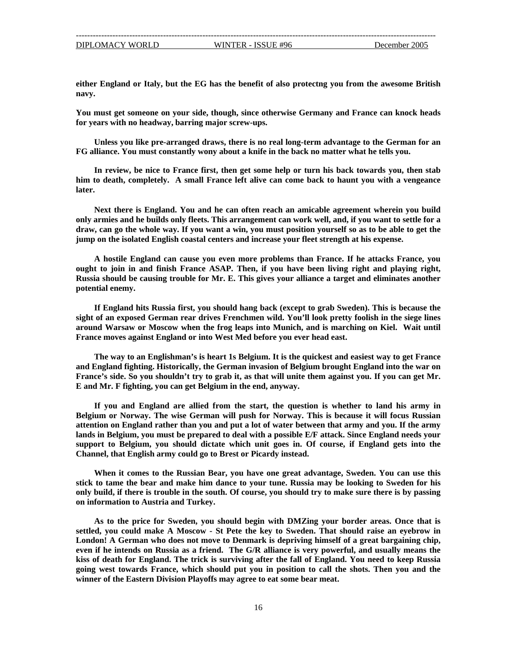**either England or Italy, but the EG has the benefit of also protectng you from the awesome British navy.** 

**You must get someone on your side, though, since otherwise Germany and France can knock heads for years with no headway, barring major screw-ups.** 

**Unless you like pre-arranged draws, there is no real long-term advantage to the German for an FG alliance. You must constantly wony about a knife in the back no matter what he tells you.** 

**In review, be nice to France first, then get some help or turn his back towards you, then stab him to death, completely. A small France left alive can come back to haunt you with a vengeance later.** 

**Next there is England. You and he can often reach an amicable agreement wherein you build only armies and he builds only fleets. This arrangement can work well, and, if you want to settle for a draw, can go the whole way. If you want a win, you must position yourself so as to be able to get the jump on the isolated English coastal centers and increase your fleet strength at his expense.** 

**A hostile England can cause you even more problems than France. If he attacks France, you ought to join in and finish France ASAP. Then, if you have been living right and playing right, Russia should be causing trouble for Mr. E. This gives your alliance a target and eliminates another potential enemy.** 

**If England hits Russia first, you should hang back (except to grab Sweden). This is because the sight of an exposed German rear drives Frenchmen wild. You'll look pretty foolish in the siege lines around Warsaw or Moscow when the frog leaps into Munich, and is marching on Kiel. Wait until France moves against England or into West Med before you ever head east.** 

**The way to an Englishman's is heart 1s Belgium. It is the quickest and easiest way to get France and England fighting. Historically, the German invasion of Belgium brought England into the war on France's side. So you shouldn't try to grab it, as that will unite them against you. If you can get Mr. E and Mr. F fighting, you can get Belgium in the end, anyway.** 

**If you and England are allied from the start, the question is whether to land his army in Belgium or Norway. The wise German will push for Norway. This is because it will focus Russian attention on England rather than you and put a lot of water between that army and you. If the army lands in Belgium, you must be prepared to deal with a possible E/F attack. Since England needs your support to Belgium, you should dictate which unit goes in. Of course, if England gets into the Channel, that English army could go to Brest or Picardy instead.** 

**When it comes to the Russian Bear, you have one great advantage, Sweden. You can use this stick to tame the bear and make him dance to your tune. Russia may be looking to Sweden for his only build, if there is trouble in the south. Of course, you should try to make sure there is by passing on information to Austria and Turkey.** 

**As to the price for Sweden, you should begin with DMZing your border areas. Once that is settled, you could make A Moscow - St Pete the key to Sweden. That should raise an eyebrow in London! A German who does not move to Denmark is depriving himself of a great bargaining chip, even if he intends on Russia as a friend. The G/R alliance is very powerful, and usually means the kiss of death for England. The trick is surviving after the fall of England. You need to keep Russia going west towards France, which should put you in position to call the shots. Then you and the winner of the Eastern Division Playoffs may agree to eat some bear meat.**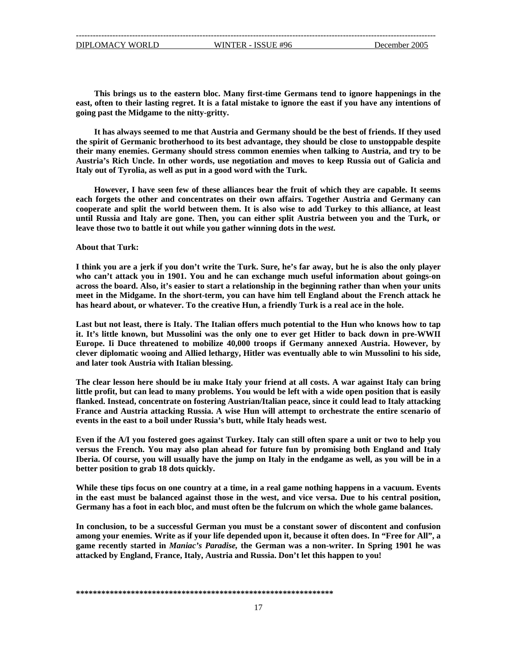**This brings us to the eastern bloc. Many first-time Germans tend to ignore happenings in the east, often to their lasting regret. It is a fatal mistake to ignore the east if you have any intentions of going past the Midgame to the nitty-gritty.**

**It has always seemed to me that Austria and Germany should be the best of friends. If they used the spirit of Germanic brotherhood to its best advantage, they should be close to unstoppable despite their many enemies. Germany should stress common enemies when talking to Austria, and try to be Austria's Rich Uncle. In other words, use negotiation and moves to keep Russia out of Galicia and Italy out of Tyrolia, as well as put in a good word with the Turk.** 

**However, I have seen few of these alliances bear the fruit of which they are capable. It seems each forgets the other and concentrates on their own affairs. Together Austria and Germany can cooperate and split the world between them. It is also wise to add Turkey to this alliance, at least until Russia and Italy are gone. Then, you can either split Austria between you and the Turk, or leave those two to battle it out while you gather winning dots in the** *west***.** 

### **About that Turk:**

**I think you are a jerk if you don't write the Turk. Sure, he's far away, but he is also the only player who can't attack you in 1901. You and he can exchange much useful information about goings-on across the board. Also, it's easier to start a relationship in the beginning rather than when your units meet in the Midgame. In the short-term, you can have him tell England about the French attack he has heard about, or whatever. To the creative Hun, a friendly Turk is a real ace in the hole.** 

**Last but not least, there is Italy. The Italian offers much potential to the Hun who knows how to tap it. It's little known, but Mussolini was the only one to ever get Hitler to back down in pre-WWII Europe. Ii Duce threatened to mobilize 40,000 troops if Germany annexed Austria. However, by clever diplomatic wooing and Allied lethargy, Hitler was eventually able to win Mussolini to his side, and later took Austria with Italian blessing.** 

**The clear lesson here should be iu make Italy your friend at all costs. A war against Italy can bring little profit, but can lead to many problems. You would be left with a wide open position that is easily flanked. Instead, concentrate on fostering Austrian/Italian peace, since it could lead to Italy attacking France and Austria attacking Russia. A wise Hun will attempt to orchestrate the entire scenario of events in the east to a boil under Russia's butt, while Italy heads west.**

**Even if the A/I you fostered goes against Turkey. Italy can still often spare a unit or two to help you versus the French. You may also plan ahead for future fun by promising both England and Italy Iberia. Of course, you will usually have the jump on Italy in the endgame as well, as you will be in a better position to grab 18 dots quickly.** 

**While these tips focus on one country at a time, in a real game nothing happens in a vacuum. Events in the east must be balanced against those in the west, and vice versa. Due to his central position, Germany has a foot in each bloc, and must often be the fulcrum on which the whole game balances.** 

**In conclusion, to be a successful German you must be a constant sower of discontent and confusion among your enemies. Write as if your life depended upon it, because it often does. In "Free for All", a game recently started in** *Maniac's Paradise,* **the German was a non-writer. In Spring 1901 he was attacked by England, France, Italy, Austria and Russia. Don't let this happen to you!**

#### **\*\*\*\*\*\*\*\*\*\*\*\*\*\*\*\*\*\*\*\*\*\*\*\*\*\*\*\*\*\*\*\*\*\*\*\*\*\*\*\*\*\*\*\*\*\*\*\*\*\*\*\*\*\*\*\*\*\*\*\*\***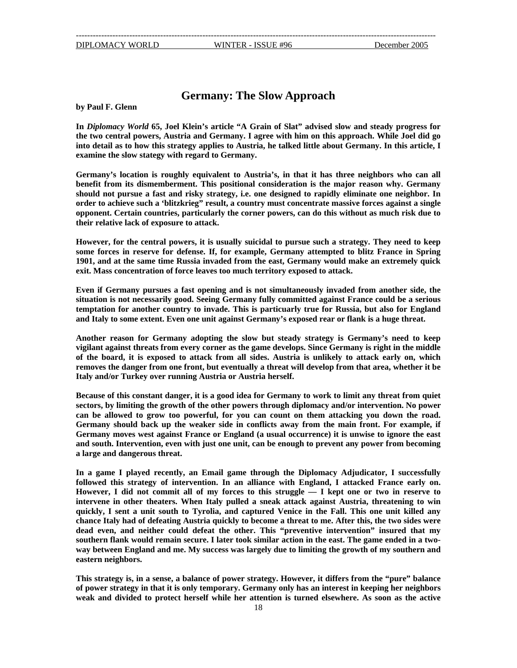## **Germany: The Slow Approach**

**by Paul F. Glenn** 

**In** *Diplomacy World* **65, Joel Klein's article "A Grain of Slat" advised slow and steady progress for the two central powers, Austria and Germany. I agree with him on this approach. While Joel did go into detail as to how this strategy applies to Austria, he talked little about Germany. In this article, I examine the slow stategy with regard to Germany.** 

**Germany's location is roughly equivalent to Austria's, in that it has three neighbors who can all benefit from its dismemberment. This positional consideration is the major reason why. Germany should not pursue a fast and risky strategy, i.e. one designed to rapidly eliminate one neighbor. In order to achieve such a 'blitzkrieg" result, a country must concentrate massive forces against a single opponent. Certain countries, particularly the corner powers, can do this without as much risk due to their relative lack of exposure to attack.**

**However, for the central powers, it is usually suicidal to pursue such a strategy. They need to keep some forces in reserve for defense. If, for example, Germany attempted to blitz France in Spring 1901, and at the same time Russia invaded from the east, Germany would make an extremely quick exit. Mass concentration of force leaves too much territory exposed to attack.** 

**Even if Germany pursues a fast opening and is not simultaneously invaded from another side, the situation is not necessarily good. Seeing Germany fully committed against France could be a serious temptation for another country to invade. This is particuarly true for Russia, but also for England and Italy to some extent. Even one unit against Germany's exposed rear or flank is a huge threat.**

**Another reason for Germany adopting the slow but steady strategy is Germany's need to keep vigilant against threats from every corner as the game develops. Since Germany is right in the middle of the board, it is exposed to attack from all sides. Austria is unlikely to attack early on, which removes the danger from one front, but eventually a threat will develop from that area, whether it be Italy and/or Turkey over running Austria or Austria herself.** 

**Because of this constant danger, it is a good idea for Germany to work to limit any threat from quiet sectors, by limiting the growth of the other powers through diplomacy and/or intervention. No power can be allowed to grow too powerful, for you can count on them attacking you down the road. Germany should back up the weaker side in conflicts away from the main front. For example, if Germany moves west against France or England (a usual occurrence) it is unwise to ignore the east and south. Intervention, even with just one unit, can be enough to prevent any power from becoming a large and dangerous threat.** 

**In a game I played recently, an Email game through the Diplomacy Adjudicator, I successfully followed this strategy of intervention. In an alliance with England, I attacked France early on. However, I did not commit all of my forces to this struggle — I kept one or two in reserve to intervene in other theaters. When Italy pulled a sneak attack against Austria, threatening to win quickly, I sent a unit south to Tyrolia, and captured Venice in the Fall. This one unit killed any chance Italy had of defeating Austria quickly to become a threat to me. After this, the two sides were dead even, and neither could defeat the other. This "preventive intervention" insured that my southern flank would remain secure. I later took similar action in the east. The game ended in a twoway between England and me. My success was largely due to limiting the growth of my southern and eastern neighbors.** 

**This strategy is, in a sense, a balance of power strategy. However, it differs from the "pure" balance of power strategy in that it is only temporary. Germany only has an interest in keeping her neighbors weak and divided to protect herself while her attention is turned elsewhere. As soon as the active**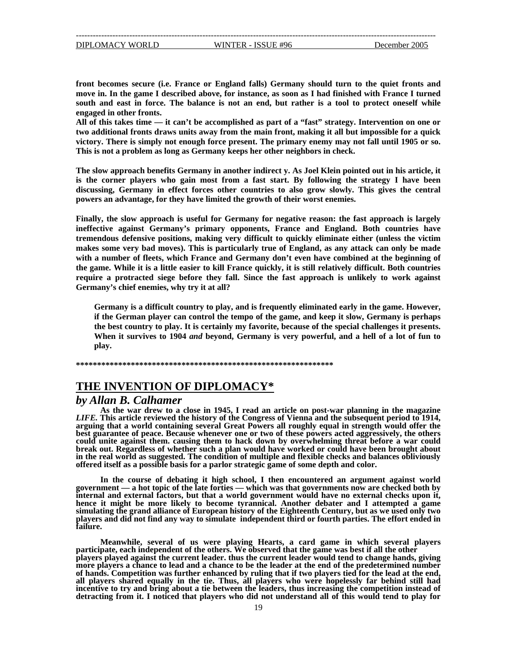**front becomes secure (i.e. France or England falls) Germany should turn to the quiet fronts and move in. In the game I described above, for instance, as soon as I had finished with France I turned south and east in force. The balance is not an end, but rather is a tool to protect oneself while engaged in other fronts.** 

**All of this takes time — it can't be accomplished as part of a "fast" strategy. Intervention on one or two additional fronts draws units away from the main front, making it all but impossible for a quick victory. There is simply not enough force present. The primary enemy may not fall until 1905 or so. This is not a problem as long as Germany keeps her other neighbors in check.** 

**The slow approach benefits Germany in another indirect y. As Joel Klein pointed out in his article, it is the corner players who gain most from a fast start. By following the strategy I have been discussing, Germany in effect forces other countries to also grow slowly. This gives the central powers an advantage, for they have limited the growth of their worst enemies.** 

**Finally, the slow approach is useful for Germany for negative reason: the fast approach is largely ineffective against Germany's primary opponents, France and England. Both countries have tremendous defensive positions, making very difficult to quickly eliminate either (unless the victim makes some very bad moves). This is particularly true of England, as any attack can only be made with a number of fleets, which France and Germany don't even have combined at the beginning of the game. While it is a little easier to kill France quickly, it is still relatively difficult. Both countries require a protracted siege before they fall. Since the fast approach is unlikely to work against Germany's chief enemies, why try it at all?** 

**Germany is a difficult country to play, and is frequently eliminated early in the game. However, if the German player can control the tempo of the game, and keep it slow, Germany is perhaps the best country to play. It is certainly my favorite, because of the special challenges it presents. When it survives to 1904** *and* **beyond, Germany is very powerful, and a hell of a lot of fun to play.** 

**\*\*\*\*\*\*\*\*\*\*\*\*\*\*\*\*\*\*\*\*\*\*\*\*\*\*\*\*\*\*\*\*\*\*\*\*\*\*\*\*\*\*\*\*\*\*\*\*\*\*\*\*\*\*\*\*\*\*\*\*\***

## **THE INVENTION OF DIPLOMACY\***

## *by Allan B. Calhamer*

**As the war drew to a close in 1945, I read an article on post-war planning in the magazine**  *LIFE.* **This article reviewed the history of the Congress of Vienna and the subsequent period to 1914, arguing that a world containing several Great Powers all roughly equal in strength would offer the best guarantee of peace. Because whenever one or two of these powers acted aggressively, the others could unite against them. causing them to hack down by overwhelming threat before a war could break out. Regardless of whether such a plan would have worked or could have been brought about in the real world as suggested. The condition of multiple and flexible checks and balances obliviously offered itself as a possible basis for a parlor strategic game of some depth and color.**

**In the course of debating it high school, I then encountered an argument against world government — a hot topic of the late forties — which was that governments now are checked both by internal and external factors, but that a world government would have no external checks upon it, hence it might be more likely to become tyrannical. Another debater and I attempted a game simulating the grand alliance of European history of the Eighteenth Century, but as we used only two players and did not find any way to simulate independent third or fourth parties. The effort ended in failure.** 

**Meanwhile, several of us were playing Hearts, a card game in which several players participate, each independent of the others. We observed that the game was best if all the other players played against the current leader. thus the current leader would tend to change hands, giving more players a chance to lead and a chance to be the leader at the end of the predetermined number of hands. Competition was further enhanced by ruling that if two players tied for the lead at the end, all players shared equally in the tie. Thus, all players who were hopelessly far behind still had incentive to try and bring about a tie between the leaders, thus increasing the competition instead of detracting from it. I noticed that players who did not understand all of this would tend to play for**